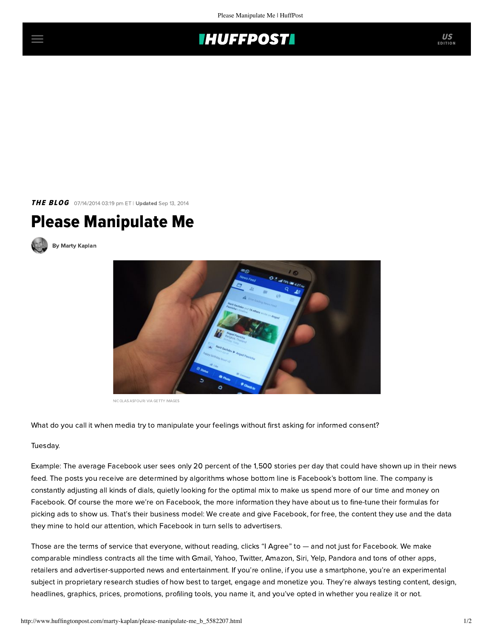

THE BLOG 07/14/2014 03:19 pm ET | Updated Sep 13, 2014

## Please Manipulate Me



[By Marty Kaplan](http://www.huffingtonpost.com/author/marty-kaplan)



NICOLAS ASFOURI VIA GETTY IMAGES

What do you call it when media try to manipulate your feelings without first asking for informed consent?

## Tuesday.

Example: The average Facebook user sees only 20 percent of the 1,500 stories per day that could have shown up in their news feed. The posts you receive are determined by algorithms whose bottom line is Facebook's bottom line. The company is constantly adjusting all kinds of dials, quietly looking for the optimal mix to make us spend more of our time and money on Facebook. Of course the more we're on Facebook, the more information they have about us to fine-tune their formulas for picking ads to show us. That's their business model: We create and give Facebook, for free, the content they use and the data they mine to hold our attention, which Facebook in turn sells to advertisers.

Those are the terms of service that everyone, without reading, clicks "I Agree" to — and not just for Facebook. We make comparable mindless contracts all the time with Gmail, Yahoo, Twitter, Amazon, Siri, Yelp, Pandora and tons of other apps, retailers and advertiser-supported news and entertainment. If you're online, if you use a smartphone, you're an experimental subject in proprietary research studies of how best to target, engage and monetize you. They're always testing content, design, headlines, graphics, prices, promotions, profiling tools, you name it, and you've opted in whether you realize it or not.